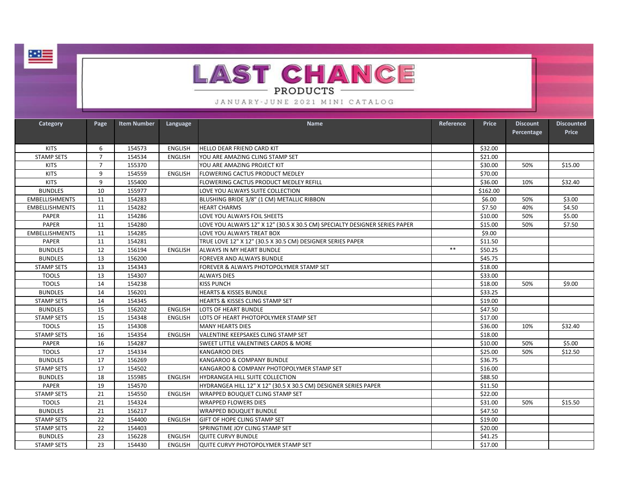



## JANUARY-JUNE 2021 MINI CATALOG

| Category              | Page           | <b>Item Number</b> | Language       | Name                                                                       | Reference | Price    | <b>Discount</b> | <b>Discounted</b> |
|-----------------------|----------------|--------------------|----------------|----------------------------------------------------------------------------|-----------|----------|-----------------|-------------------|
|                       |                |                    |                |                                                                            |           |          | Percentage      | <b>Price</b>      |
|                       |                |                    |                |                                                                            |           |          |                 |                   |
| <b>KITS</b>           | 6              | 154573             | <b>ENGLISH</b> | <b>HELLO DEAR FRIEND CARD KIT</b>                                          |           | \$32.00  |                 |                   |
| <b>STAMP SETS</b>     | $\overline{7}$ | 154534             | <b>ENGLISH</b> | YOU ARE AMAZING CLING STAMP SET                                            |           | \$21.00  |                 |                   |
| <b>KITS</b>           | $\overline{7}$ | 155370             |                | YOU ARE AMAZING PROJECT KIT                                                |           | \$30.00  | 50%             | \$15.00           |
| <b>KITS</b>           | 9              | 154559             | <b>ENGLISH</b> | <b>FLOWERING CACTUS PRODUCT MEDLEY</b>                                     |           | \$70.00  |                 |                   |
| <b>KITS</b>           | 9              | 155400             |                | FLOWERING CACTUS PRODUCT MEDLEY REFILL                                     |           | \$36.00  | 10%             | \$32.40           |
| <b>BUNDLES</b>        | 10             | 155977             |                | LOVE YOU ALWAYS SUITE COLLECTION                                           |           | \$162.00 |                 |                   |
| <b>EMBELLISHMENTS</b> | 11             | 154283             |                | BLUSHING BRIDE 3/8" (1 CM) METALLIC RIBBON                                 |           | \$6.00   | 50%             | \$3.00            |
| <b>EMBELLISHMENTS</b> | 11             | 154282             |                | <b>HEART CHARMS</b>                                                        |           | \$7.50   | 40%             | \$4.50            |
| <b>PAPER</b>          | 11             | 154286             |                | LOVE YOU ALWAYS FOIL SHEETS                                                |           | \$10.00  | 50%             | \$5.00            |
| PAPER                 | 11             | 154280             |                | LOVE YOU ALWAYS 12" X 12" (30.5 X 30.5 CM) SPECIALTY DESIGNER SERIES PAPER |           | \$15.00  | 50%             | \$7.50            |
| <b>EMBELLISHMENTS</b> | 11             | 154285             |                | LOVE YOU ALWAYS TREAT BOX                                                  |           | \$9.00   |                 |                   |
| <b>PAPER</b>          | 11             | 154281             |                | TRUE LOVE 12" X 12" (30.5 X 30.5 CM) DESIGNER SERIES PAPER                 |           | \$11.50  |                 |                   |
| <b>BUNDLES</b>        | 12             | 156194             | <b>ENGLISH</b> | ALWAYS IN MY HEART BUNDLE                                                  | $***$     | \$50.25  |                 |                   |
| <b>BUNDLES</b>        | 13             | 156200             |                | FOREVER AND ALWAYS BUNDLE                                                  |           | \$45.75  |                 |                   |
| <b>STAMP SETS</b>     | 13             | 154343             |                | FOREVER & ALWAYS PHOTOPOLYMER STAMP SET                                    |           | \$18.00  |                 |                   |
| <b>TOOLS</b>          | 13             | 154307             |                | <b>ALWAYS DIES</b>                                                         |           | \$33.00  |                 |                   |
| <b>TOOLS</b>          | 14             | 154238             |                | <b>KISS PUNCH</b>                                                          |           | \$18.00  | 50%             | \$9.00            |
| <b>BUNDLES</b>        | 14             | 156201             |                | <b>HEARTS &amp; KISSES BUNDLE</b>                                          |           | \$33.25  |                 |                   |
| <b>STAMP SETS</b>     | 14             | 154345             |                | HEARTS & KISSES CLING STAMP SET                                            |           | \$19.00  |                 |                   |
| <b>BUNDLES</b>        | 15             | 156202             | <b>ENGLISH</b> | LOTS OF HEART BUNDLE                                                       |           | \$47.50  |                 |                   |
| <b>STAMP SETS</b>     | 15             | 154348             | <b>ENGLISH</b> | LOTS OF HEART PHOTOPOLYMER STAMP SET                                       |           | \$17.00  |                 |                   |
| <b>TOOLS</b>          | 15             | 154308             |                | <b>MANY HEARTS DIES</b>                                                    |           | \$36.00  | 10%             | \$32.40           |
| <b>STAMP SETS</b>     | 16             | 154354             | <b>ENGLISH</b> | VALENTINE KEEPSAKES CLING STAMP SET                                        |           | \$18.00  |                 |                   |
| <b>PAPER</b>          | 16             | 154287             |                | <b>SWEET LITTLE VALENTINES CARDS &amp; MORE</b>                            |           | \$10.00  | 50%             | \$5.00            |
| <b>TOOLS</b>          | 17             | 154334             |                | <b>KANGAROO DIES</b>                                                       |           | \$25.00  | 50%             | \$12.50           |
| <b>BUNDLES</b>        | 17             | 156269             |                | KANGAROO & COMPANY BUNDLE                                                  |           | \$36.75  |                 |                   |
| <b>STAMP SETS</b>     | 17             | 154502             |                | KANGAROO & COMPANY PHOTOPOLYMER STAMP SET                                  |           | \$16.00  |                 |                   |
| <b>BUNDLES</b>        | 18             | 155985             | <b>ENGLISH</b> | HYDRANGEA HILL SUITE COLLECTION                                            |           | \$88.50  |                 |                   |
| <b>PAPER</b>          | 19             | 154570             |                | HYDRANGEA HILL 12" X 12" (30.5 X 30.5 CM) DESIGNER SERIES PAPER            |           | \$11.50  |                 |                   |
| <b>STAMP SETS</b>     | 21             | 154550             | <b>ENGLISH</b> | WRAPPED BOUQUET CLING STAMP SET                                            |           | \$22.00  |                 |                   |
| <b>TOOLS</b>          | 21             | 154324             |                | <b>WRAPPED FLOWERS DIES</b>                                                |           | \$31.00  | 50%             | \$15.50           |
| <b>BUNDLES</b>        | 21             | 156217             |                | <b>WRAPPED BOUQUET BUNDLE</b>                                              |           | \$47.50  |                 |                   |
| <b>STAMP SETS</b>     | 22             | 154400             | <b>ENGLISH</b> | <b>GIFT OF HOPE CLING STAMP SET</b>                                        |           | \$19.00  |                 |                   |
| <b>STAMP SETS</b>     | 22             | 154403             |                | SPRINGTIME JOY CLING STAMP SET                                             |           | \$20.00  |                 |                   |
| <b>BUNDLES</b>        | 23             | 156228             | <b>ENGLISH</b> | <b>QUITE CURVY BUNDLE</b>                                                  |           | \$41.25  |                 |                   |
| <b>STAMP SETS</b>     | 23             | 154430             | ENGLISH        | lQUITE CURVY PHOTOPOLYMER STAMP SET                                        |           | \$17.00  |                 |                   |
|                       |                |                    |                |                                                                            |           |          |                 |                   |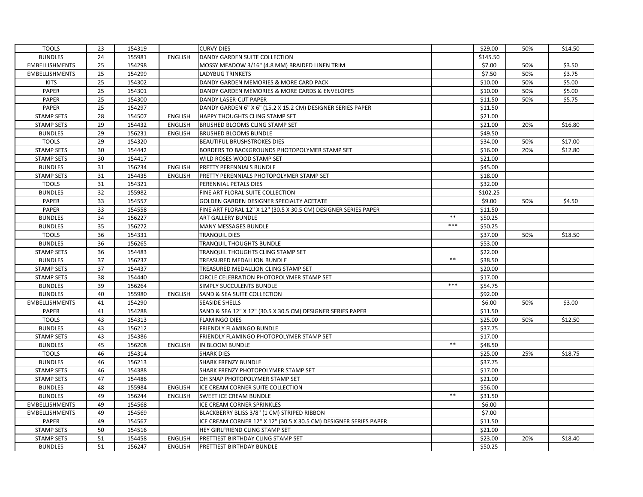| <b>TOOLS</b>          | 23 | 154319 |                | <b>CURVY DIES</b>                                                 |       | \$29.00  | 50% | \$14.50 |
|-----------------------|----|--------|----------------|-------------------------------------------------------------------|-------|----------|-----|---------|
| <b>BUNDLES</b>        | 24 | 155981 | <b>ENGLISH</b> | DANDY GARDEN SUITE COLLECTION                                     |       | \$145.50 |     |         |
| <b>EMBELLISHMENTS</b> | 25 | 154298 |                | MOSSY MEADOW 3/16" (4.8 MM) BRAIDED LINEN TRIM                    |       | \$7.00   | 50% | \$3.50  |
| <b>EMBELLISHMENTS</b> | 25 | 154299 |                | <b>LADYBUG TRINKETS</b>                                           |       | \$7.50   | 50% | \$3.75  |
| <b>KITS</b>           | 25 | 154302 |                | DANDY GARDEN MEMORIES & MORE CARD PACK                            |       | \$10.00  | 50% | \$5.00  |
| PAPER                 | 25 | 154301 |                | DANDY GARDEN MEMORIES & MORE CARDS & ENVELOPES                    |       | \$10.00  | 50% | \$5.00  |
| PAPER                 | 25 | 154300 |                | DANDY LASER-CUT PAPER                                             |       | \$11.50  | 50% | \$5.75  |
| PAPER                 | 25 | 154297 |                | DANDY GARDEN 6" X 6" (15.2 X 15.2 CM) DESIGNER SERIES PAPER       |       | \$11.50  |     |         |
| <b>STAMP SETS</b>     | 28 | 154507 | <b>ENGLISH</b> | HAPPY THOUGHTS CLING STAMP SET                                    |       | \$21.00  |     |         |
| <b>STAMP SETS</b>     | 29 | 154432 | <b>ENGLISH</b> | <b>BRUSHED BLOOMS CLING STAMP SET</b>                             |       | \$21.00  | 20% | \$16.80 |
| <b>BUNDLES</b>        | 29 | 156231 | <b>ENGLISH</b> | <b>BRUSHED BLOOMS BUNDLE</b>                                      |       | \$49.50  |     |         |
| <b>TOOLS</b>          | 29 | 154320 |                | <b>BEAUTIFUL BRUSHSTROKES DIES</b>                                |       | \$34.00  | 50% | \$17.00 |
| <b>STAMP SETS</b>     | 30 | 154442 |                | BORDERS TO BACKGROUNDS PHOTOPOLYMER STAMP SET                     |       | \$16.00  | 20% | \$12.80 |
| <b>STAMP SETS</b>     | 30 | 154417 |                | WILD ROSES WOOD STAMP SET                                         |       | \$21.00  |     |         |
| <b>BUNDLES</b>        | 31 | 156234 | ENGLISH        | <b>PRETTY PERENNIALS BUNDLE</b>                                   |       | \$45.00  |     |         |
| <b>STAMP SETS</b>     | 31 | 154435 | <b>ENGLISH</b> | PRETTY PERENNIALS PHOTOPOLYMER STAMP SET                          |       | \$18.00  |     |         |
| <b>TOOLS</b>          | 31 | 154321 |                | PERENNIAL PETALS DIES                                             |       | \$32.00  |     |         |
| <b>BUNDLES</b>        | 32 | 155982 |                | FINE ART FLORAL SUITE COLLECTION                                  |       | \$102.25 |     |         |
| PAPER                 | 33 | 154557 |                | GOLDEN GARDEN DESIGNER SPECIALTY ACETATE                          |       | \$9.00   | 50% | \$4.50  |
| <b>PAPER</b>          | 33 | 154558 |                | FINE ART FLORAL 12" X 12" (30.5 X 30.5 CM) DESIGNER SERIES PAPER  |       | \$11.50  |     |         |
| <b>BUNDLES</b>        | 34 | 156227 |                | ART GALLERY BUNDLE                                                | $***$ | \$50.25  |     |         |
| <b>BUNDLES</b>        | 35 | 156272 |                | MANY MESSAGES BUNDLE                                              | $***$ | \$50.25  |     |         |
| <b>TOOLS</b>          | 36 | 154331 |                | <b>TRANQUIL DIES</b>                                              |       | \$37.00  | 50% | \$18.50 |
| <b>BUNDLES</b>        | 36 | 156265 |                | TRANQUIL THOUGHTS BUNDLE                                          |       | \$53.00  |     |         |
| <b>STAMP SETS</b>     | 36 | 154483 |                | TRANQUIL THOUGHTS CLING STAMP SET                                 |       | \$22.00  |     |         |
| <b>BUNDLES</b>        | 37 | 156237 |                | TREASURED MEDALLION BUNDLE                                        | $***$ | \$38.50  |     |         |
| <b>STAMP SETS</b>     | 37 | 154437 |                | TREASURED MEDALLION CLING STAMP SET                               |       | \$20.00  |     |         |
| <b>STAMP SETS</b>     | 38 | 154440 |                | CIRCLE CELEBRATION PHOTOPOLYMER STAMP SET                         |       | \$17.00  |     |         |
| <b>BUNDLES</b>        | 39 | 156264 |                | SIMPLY SUCCULENTS BUNDLE                                          | $***$ | \$54.75  |     |         |
| <b>BUNDLES</b>        | 40 | 155980 | <b>ENGLISH</b> | SAND & SEA SUITE COLLECTION                                       |       | \$92.00  |     |         |
| <b>EMBELLISHMENTS</b> | 41 | 154290 |                | <b>SEASIDE SHELLS</b>                                             |       | \$6.00   | 50% | \$3.00  |
| <b>PAPER</b>          | 41 | 154288 |                | SAND & SEA 12" X 12" (30.5 X 30.5 CM) DESIGNER SERIES PAPER       |       | \$11.50  |     |         |
| <b>TOOLS</b>          | 43 | 154313 |                | <b>FLAMINGO DIES</b>                                              |       | \$25.00  | 50% | \$12.50 |
| <b>BUNDLES</b>        | 43 | 156212 |                | FRIENDLY FLAMINGO BUNDLE                                          |       | \$37.75  |     |         |
| <b>STAMP SETS</b>     | 43 | 154386 |                | FRIENDLY FLAMINGO PHOTOPOLYMER STAMP SET                          |       | \$17.00  |     |         |
| <b>BUNDLES</b>        | 45 | 156208 | ENGLISH        | IN BLOOM BUNDLE                                                   | $***$ | \$48.50  |     |         |
| <b>TOOLS</b>          | 46 | 154314 |                | <b>SHARK DIES</b>                                                 |       | \$25.00  | 25% | \$18.75 |
| <b>BUNDLES</b>        | 46 | 156213 |                | <b>SHARK FRENZY BUNDLE</b>                                        |       | \$37.75  |     |         |
| <b>STAMP SETS</b>     | 46 | 154388 |                | SHARK FRENZY PHOTOPOLYMER STAMP SET                               |       | \$17.00  |     |         |
| <b>STAMP SETS</b>     | 47 | 154486 |                | OH SNAP PHOTOPOLYMER STAMP SET                                    |       | \$21.00  |     |         |
| <b>BUNDLES</b>        | 48 | 155984 | <b>ENGLISH</b> | ICE CREAM CORNER SUITE COLLECTION                                 |       | \$56.00  |     |         |
| <b>BUNDLES</b>        | 49 | 156244 | <b>ENGLISH</b> | SWEET ICE CREAM BUNDLE                                            | $**$  | \$31.50  |     |         |
| <b>EMBELLISHMENTS</b> | 49 | 154568 |                | ICE CREAM CORNER SPRINKLES                                        |       | \$6.00   |     |         |
| <b>EMBELLISHMENTS</b> | 49 | 154569 |                | BLACKBERRY BLISS 3/8" (1 CM) STRIPED RIBBON                       |       | \$7.00   |     |         |
| <b>PAPER</b>          | 49 | 154567 |                | ICE CREAM CORNER 12" X 12" (30.5 X 30.5 CM) DESIGNER SERIES PAPER |       | \$11.50  |     |         |
| <b>STAMP SETS</b>     | 50 | 154516 |                | HEY GIRLFRIEND CLING STAMP SET                                    |       | \$21.00  |     |         |
| <b>STAMP SETS</b>     | 51 | 154458 | <b>ENGLISH</b> | PRETTIEST BIRTHDAY CLING STAMP SET                                |       | \$23.00  | 20% | \$18.40 |
| <b>BUNDLES</b>        | 51 | 156247 | <b>ENGLISH</b> | <b>PRETTIEST BIRTHDAY BUNDLE</b>                                  |       | \$50.25  |     |         |
|                       |    |        |                |                                                                   |       |          |     |         |